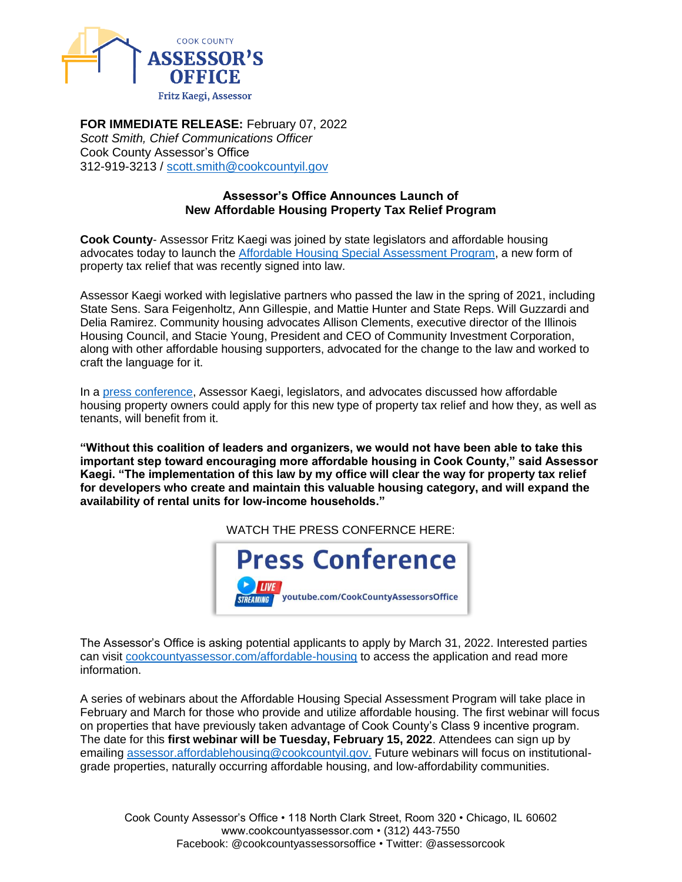

**FOR IMMEDIATE RELEASE:** February 07, 2022 *Scott Smith, Chief Communications Officer* Cook County Assessor's Office 312-919-3213 / [scott.smith@cookcountyil.gov](mailto:scott.smith@cookcountyil.gov)

# **Assessor's Office Announces Launch of New Affordable Housing Property Tax Relief Program**

**Cook County**- Assessor Fritz Kaegi was joined by state legislators and affordable housing advocates today to launch the [Affordable Housing Special Assessment Program,](https://www.cookcountyassessor.com/affordable-housing) a new form of property tax relief that was recently signed into law.

Assessor Kaegi worked with legislative partners who passed the law in the spring of 2021, including State Sens. Sara Feigenholtz, Ann Gillespie, and Mattie Hunter and State Reps. Will Guzzardi and Delia Ramirez. Community housing advocates Allison Clements, executive director of the Illinois Housing Council, and Stacie Young, President and CEO of Community Investment Corporation, along with other affordable housing supporters, advocated for the change to the law and worked to craft the language for it.

In a [press conference,](https://www.youtube.com/watch?v=T1AaRu7QeHU) Assessor Kaegi, legislators, and advocates discussed how affordable housing property owners could apply for this new type of property tax relief and how they, as well as tenants, will benefit from it.

**"Without this coalition of leaders and organizers, we would not have been able to take this important step toward encouraging more affordable housing in Cook County," said Assessor Kaegi. "The implementation of this law by my office will clear the way for property tax relief for developers who create and maintain this valuable housing category, and will expand the availability of rental units for low-income households."**

WATCH THE PRESS CONFERNCE HERE:



The Assessor's Office is asking potential applicants to apply by March 31, 2022. Interested parties can visit [cookcountyassessor.com/affordable-housing](https://www.cookcountyassessor.com/affordable-housing) to access the application and read more information.

A series of webinars about the Affordable Housing Special Assessment Program will take place in February and March for those who provide and utilize affordable housing. The first webinar will focus on properties that have previously taken advantage of Cook County's Class 9 incentive program. The date for this **first webinar will be Tuesday, February 15, 2022**. Attendees can sign up by emailing [assessor.affordablehousing@cookcountyil.gov.](mailto:assessor.affordablehousing@cookcountyil.gov) Future webinars will focus on institutionalgrade properties, naturally occurring affordable housing, and low-affordability communities.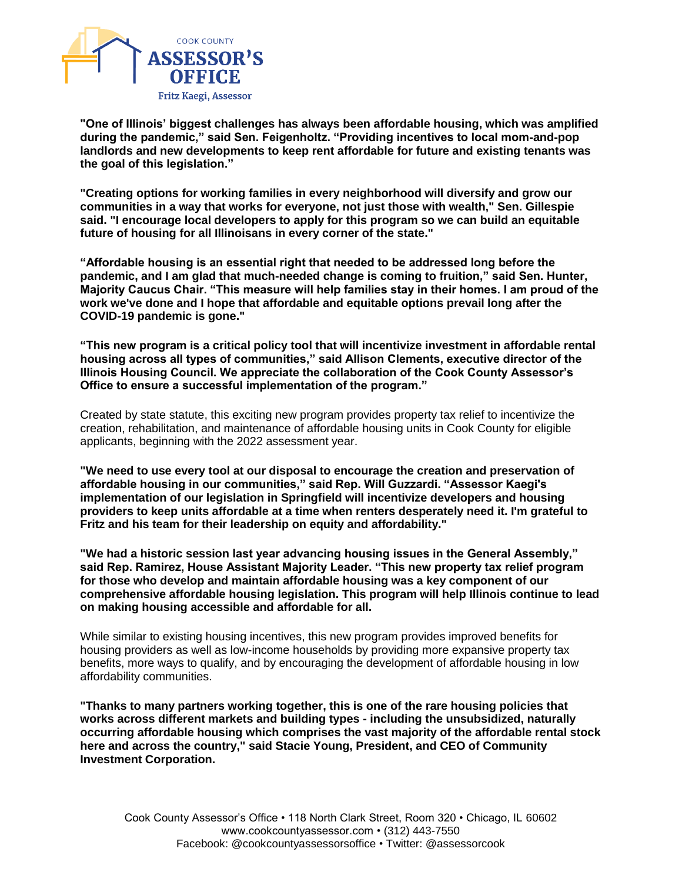

**"One of Illinois' biggest challenges has always been affordable housing, which was amplified during the pandemic," said Sen. Feigenholtz. "Providing incentives to local mom-and-pop landlords and new developments to keep rent affordable for future and existing tenants was the goal of this legislation."**

**"Creating options for working families in every neighborhood will diversify and grow our communities in a way that works for everyone, not just those with wealth," Sen. Gillespie said. "I encourage local developers to apply for this program so we can build an equitable future of housing for all Illinoisans in every corner of the state."** 

**"Affordable housing is an essential right that needed to be addressed long before the pandemic, and I am glad that much-needed change is coming to fruition," said Sen. Hunter, Majority Caucus Chair. "This measure will help families stay in their homes. I am proud of the work we've done and I hope that affordable and equitable options prevail long after the COVID-19 pandemic is gone."**

**"This new program is a critical policy tool that will incentivize investment in affordable rental housing across all types of communities," said Allison Clements, executive director of the Illinois Housing Council. We appreciate the collaboration of the Cook County Assessor's Office to ensure a successful implementation of the program."**

Created by state statute, this exciting new program provides property tax relief to incentivize the creation, rehabilitation, and maintenance of affordable housing units in Cook County for eligible applicants, beginning with the 2022 assessment year.

**"We need to use every tool at our disposal to encourage the creation and preservation of affordable housing in our communities," said Rep. Will Guzzardi. "Assessor Kaegi's implementation of our legislation in Springfield will incentivize developers and housing providers to keep units affordable at a time when renters desperately need it. I'm grateful to Fritz and his team for their leadership on equity and affordability."**

**"We had a historic session last year advancing housing issues in the General Assembly," said Rep. Ramirez, House Assistant Majority Leader. "This new property tax relief program for those who develop and maintain affordable housing was a key component of our comprehensive affordable housing legislation. This program will help Illinois continue to lead on making housing accessible and affordable for all.**

While similar to existing housing incentives, this new program provides improved benefits for housing providers as well as low-income households by providing more expansive property tax benefits, more ways to qualify, and by encouraging the development of affordable housing in low affordability communities.

**"Thanks to many partners working together, this is one of the rare housing policies that works across different markets and building types - including the unsubsidized, naturally occurring affordable housing which comprises the vast majority of the affordable rental stock here and across the country," said Stacie Young, President, and CEO of Community Investment Corporation.**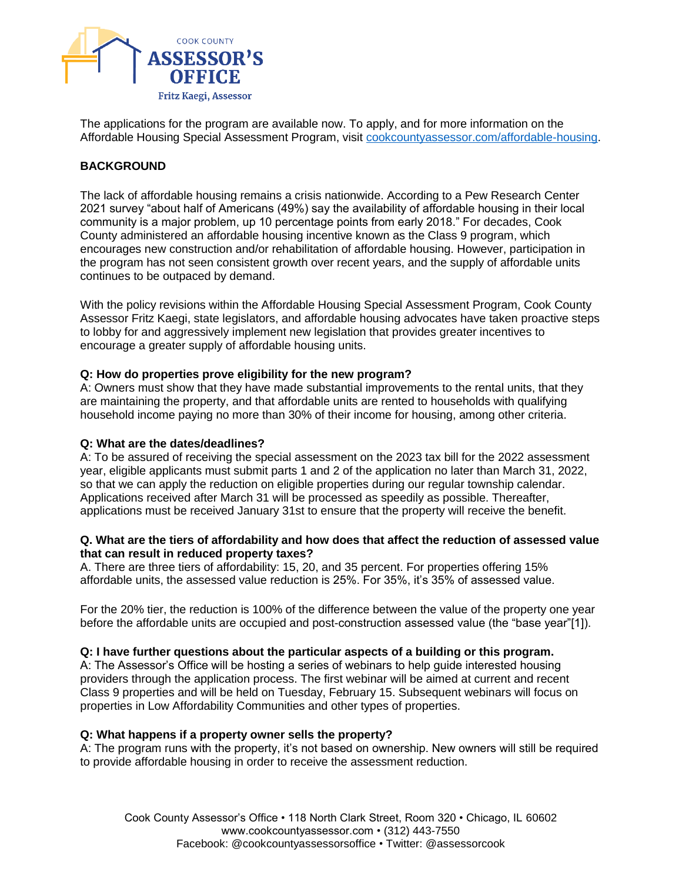

The applications for the program are available now. To apply, and for more information on the Affordable Housing Special Assessment Program, visit [cookcountyassessor.com/affordable-housing.](https://www.cookcountyassessor.com/affordable-housing)

# **BACKGROUND**

The lack of affordable housing remains a crisis nationwide. According to a Pew Research Center 2021 survey "about half of Americans (49%) say the availability of affordable housing in their local community is a major problem, up 10 percentage points from early 2018." For decades, Cook County administered an affordable housing incentive known as the Class 9 program, which encourages new construction and/or rehabilitation of affordable housing. However, participation in the program has not seen consistent growth over recent years, and the supply of affordable units continues to be outpaced by demand.

With the policy revisions within the Affordable Housing Special Assessment Program, Cook County Assessor Fritz Kaegi, state legislators, and affordable housing advocates have taken proactive steps to lobby for and aggressively implement new legislation that provides greater incentives to encourage a greater supply of affordable housing units.

#### **Q: How do properties prove eligibility for the new program?**

A: Owners must show that they have made substantial improvements to the rental units, that they are maintaining the property, and that affordable units are rented to households with qualifying household income paying no more than 30% of their income for housing, among other criteria.

#### **Q: What are the dates/deadlines?**

A: To be assured of receiving the special assessment on the 2023 tax bill for the 2022 assessment year, eligible applicants must submit parts 1 and 2 of the application no later than March 31, 2022, so that we can apply the reduction on eligible properties during our regular township calendar. Applications received after March 31 will be processed as speedily as possible. Thereafter, applications must be received January 31st to ensure that the property will receive the benefit.

#### **Q. What are the tiers of affordability and how does that affect the reduction of assessed value that can result in reduced property taxes?**

A. There are three tiers of affordability: 15, 20, and 35 percent. For properties offering 15% affordable units, the assessed value reduction is 25%. For 35%, it's 35% of assessed value.

For the 20% tier, the reduction is 100% of the difference between the value of the property one year before the affordable units are occupied and post-construction assessed value (the "base year"[1]).

#### **Q: I have further questions about the particular aspects of a building or this program.**

A: The Assessor's Office will be hosting a series of webinars to help guide interested housing providers through the application process. The first webinar will be aimed at current and recent Class 9 properties and will be held on Tuesday, February 15. Subsequent webinars will focus on properties in Low Affordability Communities and other types of properties.

#### **Q: What happens if a property owner sells the property?**

A: The program runs with the property, it's not based on ownership. New owners will still be required to provide affordable housing in order to receive the assessment reduction.